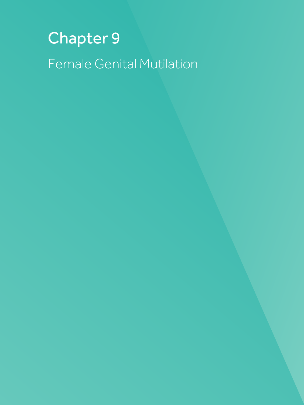# Chapter 9

Female Genital Mutilation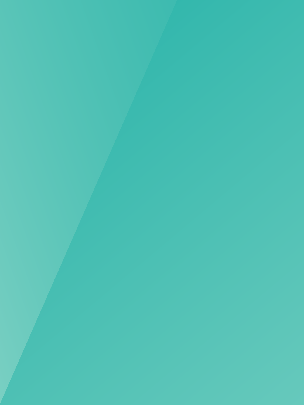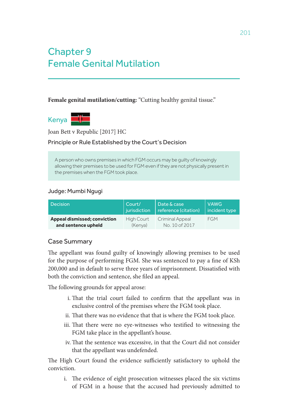# Chapter 9 Female Genital Mutilation

**Female genital mutilation/cutting:** "Cutting healthy genital tissue."



Joan Bett v Republic [2017] HC

# Principle or Rule Established by the Court's Decision

A person who owns premises in which FGM occurs may be guilty of knowingly allowing their premises to be used for FGM even if they are not physically present in the premises when the FGM took place.

# Judge: Mumbi Ngugi

| <b>Decision</b>                     | Court/       | Date & case          | VAWG          |
|-------------------------------------|--------------|----------------------|---------------|
|                                     | jurisdiction | reference (citation) | incident type |
| <b>Appeal dismissed; conviction</b> | High Court   | Criminal Appeal      | <b>FGM</b>    |
| and sentence upheld                 | (Kenya)      | No. 10 of 2017       |               |

# Case Summary

The appellant was found guilty of knowingly allowing premises to be used for the purpose of performing FGM. She was sentenced to pay a fine of KSh 200,000 and in default to serve three years of imprisonment. Dissatisfied with both the conviction and sentence, she filed an appeal.

The following grounds for appeal arose:

- i. That the trial court failed to confirm that the appellant was in exclusive control of the premises where the FGM took place.
- ii. That there was no evidence that that is where the FGM took place.
- iii. That there were no eye-witnesses who testified to witnessing the FGM take place in the appellant's house.
- iv. That the sentence was excessive, in that the Court did not consider that the appellant was undefended.

The High Court found the evidence sufficiently satisfactory to uphold the conviction.

i. The evidence of eight prosecution witnesses placed the six victims of FGM in a house that the accused had previously admitted to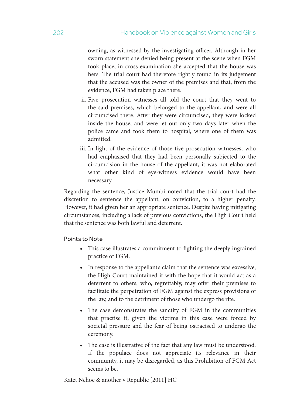owning, as witnessed by the investigating officer. Although in her sworn statement she denied being present at the scene when FGM took place, in cross-examination she accepted that the house was hers. The trial court had therefore rightly found in its judgement that the accused was the owner of the premises and that, from the evidence, FGM had taken place there.

- ii. Five prosecution witnesses all told the court that they went to the said premises, which belonged to the appellant, and were all circumcised there. After they were circumcised, they were locked inside the house, and were let out only two days later when the police came and took them to hospital, where one of them was admitted.
- iii. In light of the evidence of those five prosecution witnesses, who had emphasised that they had been personally subjected to the circumcision in the house of the appellant, it was not elaborated what other kind of eye-witness evidence would have been necessary.

Regarding the sentence, Justice Mumbi noted that the trial court had the discretion to sentence the appellant, on conviction, to a higher penalty. However, it had given her an appropriate sentence. Despite having mitigating circumstances, including a lack of previous convictions, the High Court held that the sentence was both lawful and deterrent.

Points to Note

- This case illustrates a commitment to fighting the deeply ingrained practice of FGM.
- In response to the appellant's claim that the sentence was excessive, the High Court maintained it with the hope that it would act as a deterrent to others, who, regrettably, may offer their premises to facilitate the perpetration of FGM against the express provisions of the law, and to the detriment of those who undergo the rite.
- The case demonstrates the sanctity of FGM in the communities that practise it, given the victims in this case were forced by societal pressure and the fear of being ostracised to undergo the ceremony.
- The case is illustrative of the fact that any law must be understood. If the populace does not appreciate its relevance in their community, it may be disregarded, as this Prohibition of FGM Act seems to be.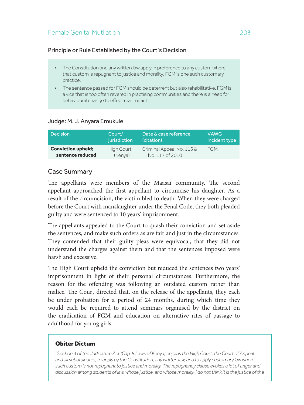# Principle or Rule Established by the Court's Decision

- The Constitution and any written law apply in preference to any custom where that custom is repugnant to justice and morality. FGM is one such customary practice.
- The sentence passed for FGM should be deterrent but also rehabilitative. FGM is a vice that is too often revered in practising communities and there is a need for behavioural change to effect real impact.

#### Judge: M. J. Anyara Emukule

| <b>Decision</b>           | Court/<br>jurisdiction | Date & case reference<br>(citation) | <b>VAWG</b><br>incident type |
|---------------------------|------------------------|-------------------------------------|------------------------------|
| <b>Conviction upheld;</b> | High Court             | Criminal Appeal No. 115 &           | <b>FGM</b>                   |
| sentence reduced          | (Kenya)                | No. 117 of 2010                     |                              |

# Case Summary

The appellants were members of the Maasai community. The second appellant approached the first appellant to circumcise his daughter. As a result of the circumcision, the victim bled to death. When they were charged before the Court with manslaughter under the Penal Code, they both pleaded guilty and were sentenced to 10 years' imprisonment.

The appellants appealed to the Court to quash their conviction and set aside the sentences, and make such orders as are fair and just in the circumstances. They contended that their guilty pleas were equivocal, that they did not understand the charges against them and that the sentences imposed were harsh and excessive.

The High Court upheld the conviction but reduced the sentences two years' imprisonment in light of their personal circumstances. Furthermore, the reason for the offending was following an outdated custom rather than malice. The Court directed that, on the release of the appellants, they each be under probation for a period of 24 months, during which time they would each be required to attend seminars organised by the district on the eradication of FGM and education on alternative rites of passage to adulthood for young girls.

# Obiter Dictum

*"Section 3 of the Judicature Act (Cap. 8 Laws of Kenya) enjoins the High Court, the Court of Appeal and all subordinates, to apply by the Constitution, any written law, and to apply customary law where such custom is not repugnant to justice and morality. The repugnancy clause evokes a lot of anger and discussion among students of law, whose justice, and whose morality, I do not think it is the justice of the*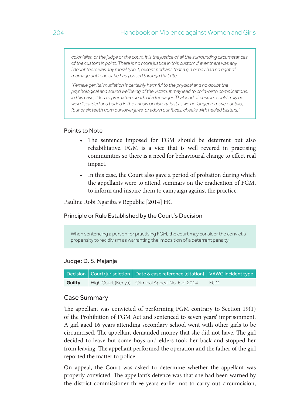*colonialist, or the judge or the court. It is the justice of all the surrounding circumstances of the custom in point. There is no more justice in this custom if ever there was any. I doubt there was any morality in it, except perhaps that a girl or boy had no right of marriage until she or he had passed through that rite.*

*"Female genital mutilation is certainly harmful to the physical and no doubt the psychological and sound wellbeing of the victim. It may lead to child-birth complications; in this case, it led to premature death of a teenager. That kind of custom could truly be well discarded and buried in the annals of history, just as we no longer remove our two, four or six teeth from our lower jaws, or adorn our faces, cheeks with healed blisters."*

#### Points to Note

- The sentence imposed for FGM should be deterrent but also rehabilitative. FGM is a vice that is well revered in practising communities so there is a need for behavioural change to effect real impact.
- In this case, the Court also gave a period of probation during which the appellants were to attend seminars on the eradication of FGM, to inform and inspire them to campaign against the practice.

Pauline Robi Ngariba v Republic [2014] HC

#### Principle or Rule Established by the Court's Decision

When sentencing a person for practising FGM, the court may consider the convict's propensity to recidivism as warranting the imposition of a deterrent penalty.

#### Judge: D. S. Majanja



#### Case Summary

The appellant was convicted of performing FGM contrary to Section 19(1) of the Prohibition of FGM Act and sentenced to seven years' imprisonment. A girl aged 16 years attending secondary school went with other girls to be circumcised. The appellant demanded money that she did not have. The girl decided to leave but some boys and elders took her back and stopped her from leaving. The appellant performed the operation and the father of the girl reported the matter to police.

On appeal, the Court was asked to determine whether the appellant was properly convicted. The appellant's defence was that she had been warned by the district commissioner three years earlier not to carry out circumcision,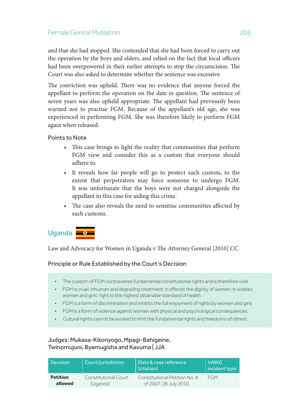and that she had stopped. She contended that she had been forced to carry out the operation by the boys and elders, and relied on the fact that local officers had been overpowered in their earlier attempts to stop the circumcision. The Court was also asked to determine whether the sentence was excessive.

The conviction was upheld. There was no evidence that anyone forced the appellant to perform the operation on the date in question. The sentence of seven years was also upheld appropriate. The appellant had previously been warned not to practise FGM. Because of the appellant's old age, she was experienced in performing FGM. She was therefore likely to perform FGM again when released.

#### Points to Note

- This case brings to light the reality that communities that perform FGM view and consider this as a custom that everyone should adhere to.
- It reveals how far people will go to protect such custom, to the extent that perpetrators may force someone to undergo FGM. It was unfortunate that the boys were not charged alongside the appellant in this case for aiding this crime.
- The case also reveals the need to sensitise communities affected by such customs.

# Uganda **S**

Law and Advocacy for Women in Uganda v The Attorney General [2010] CC

#### Principle or Rule Established by the Court's Decision

- The custom of FGM contravenes fundamental constitutional rights and is therefore void.
- FGM is cruel, inhuman and degrading treatment; it offends the dignity of women; it violates women and girls' right to the highest attainable standard of health.
- FGM is a form of discrimination and inhibits the full enjoyment of rights by women and girls
- FGM is a form of violence against women with physical and psychological consequences.
- Cultural rights cannot be evoked to limit the fundamental rights and freedoms of others.

#### Judges: Mukasa-Kikonyogo, Mpagi-Bahigeine, Twinomujuni, Byamugisha and Kavuma | JJA

| <b>Decision</b> | Court/jurisdiction          | Date & case reference<br>(citation) | <b>VAWG</b><br>incident type |
|-----------------|-----------------------------|-------------------------------------|------------------------------|
| <b>Petition</b> | <b>Constitutional Court</b> | Constitutional Petition No. 8       | <b>FGM</b>                   |
| allowed         | (Uganda)                    | of 2007; 28 July 2010.              |                              |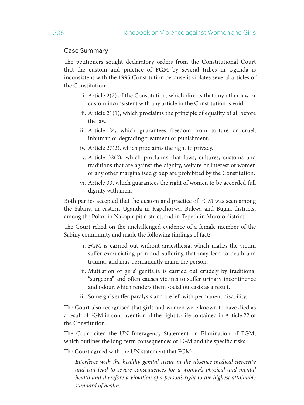#### Case Summary

The petitioners sought declaratory orders from the Constitutional Court that the custom and practice of FGM by several tribes in Uganda is inconsistent with the 1995 Constitution because it violates several articles of the Constitution:

- i. Article 2(2) of the Constitution, which directs that any other law or custom inconsistent with any article in the Constitution is void.
- ii. Article 21(1), which proclaims the principle of equality of all before the law.
- iii. Article 24, which guarantees freedom from torture or cruel, inhuman or degrading treatment or punishment.
- iv. Article 27(2), which proclaims the right to privacy.
- v. Article 32(2), which proclaims that laws, cultures, customs and traditions that are against the dignity, welfare or interest of women or any other marginalised group are prohibited by the Constitution.
- vi. Article 33, which guarantees the right of women to be accorded full dignity with men.

Both parties accepted that the custom and practice of FGM was seen among the Sabiny, in eastern Uganda in Kapchorwa, Bukwa and Bugiri districts; among the Pokot in Nakapiripit district; and in Tepeth in Moroto district.

The Court relied on the unchallenged evidence of a female member of the Sabiny community and made the following findings of fact:

- i. FGM is carried out without anaesthesia, which makes the victim suffer excruciating pain and suffering that may lead to death and trauma, and may permanently maim the person.
- ii. Mutilation of girls' genitalia is carried out crudely by traditional "surgeons" and often causes victims to suffer urinary incontinence and odour, which renders them social outcasts as a result.
- iii. Some girls suffer paralysis and are left with permanent disability.

The Court also recognised that girls and women were known to have died as a result of FGM in contravention of the right to life contained in Article 22 of the Constitution.

The Court cited the UN Interagency Statement on Elimination of FGM, which outlines the long-term consequences of FGM and the specific risks.

The Court agreed with the UN statement that FGM:

*Interferes with the healthy genital tissue in the absence medical necessity and can lead to severe consequences for a woman's physical and mental health and therefore a violation of a person's right to the highest attainable standard of health.*